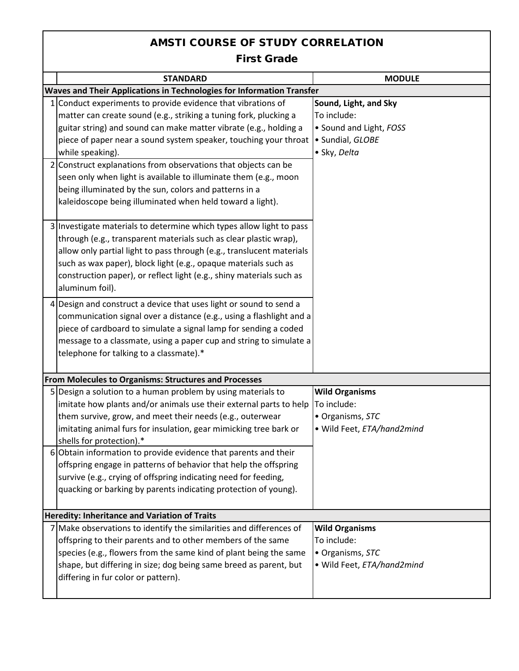## AMSTI COURSE OF STUDY CORRELATION

First Grade

|                                                      | <b>STANDARD</b>                                                                                                                                                                                                                                                                                                                                                                  | <b>MODULE</b>                                                                                       |  |  |
|------------------------------------------------------|----------------------------------------------------------------------------------------------------------------------------------------------------------------------------------------------------------------------------------------------------------------------------------------------------------------------------------------------------------------------------------|-----------------------------------------------------------------------------------------------------|--|--|
|                                                      | Waves and Their Applications in Technologies for Information Transfer                                                                                                                                                                                                                                                                                                            |                                                                                                     |  |  |
|                                                      | 1 Conduct experiments to provide evidence that vibrations of<br>matter can create sound (e.g., striking a tuning fork, plucking a<br>guitar string) and sound can make matter vibrate (e.g., holding a<br>piece of paper near a sound system speaker, touching your throat<br>while speaking).<br>2 Construct explanations from observations that objects can be                 | Sound, Light, and Sky<br>To include:<br>• Sound and Light, FOSS<br>· Sundial, GLOBE<br>• Sky, Delta |  |  |
|                                                      | seen only when light is available to illuminate them (e.g., moon<br>being illuminated by the sun, colors and patterns in a<br>kaleidoscope being illuminated when held toward a light).                                                                                                                                                                                          |                                                                                                     |  |  |
|                                                      | 3 Investigate materials to determine which types allow light to pass<br>through (e.g., transparent materials such as clear plastic wrap),<br>allow only partial light to pass through (e.g., translucent materials<br>such as wax paper), block light (e.g., opaque materials such as<br>construction paper), or reflect light (e.g., shiny materials such as<br>aluminum foil). |                                                                                                     |  |  |
|                                                      | 4 Design and construct a device that uses light or sound to send a<br>communication signal over a distance (e.g., using a flashlight and a<br>piece of cardboard to simulate a signal lamp for sending a coded<br>message to a classmate, using a paper cup and string to simulate a<br>telephone for talking to a classmate).*                                                  |                                                                                                     |  |  |
|                                                      | From Molecules to Organisms: Structures and Processes                                                                                                                                                                                                                                                                                                                            |                                                                                                     |  |  |
|                                                      | 5 Design a solution to a human problem by using materials to<br>imitate how plants and/or animals use their external parts to help<br>them survive, grow, and meet their needs (e.g., outerwear<br>imitating animal furs for insulation, gear mimicking tree bark or<br>shells for protection).*                                                                                 | <b>Wild Organisms</b><br>To include:<br>• Organisms, STC<br>· Wild Feet, ETA/hand2mind              |  |  |
|                                                      | 6 Obtain information to provide evidence that parents and their<br>offspring engage in patterns of behavior that help the offspring<br>survive (e.g., crying of offspring indicating need for feeding,<br>quacking or barking by parents indicating protection of young).                                                                                                        |                                                                                                     |  |  |
| <b>Heredity: Inheritance and Variation of Traits</b> |                                                                                                                                                                                                                                                                                                                                                                                  |                                                                                                     |  |  |
|                                                      | 7 Make observations to identify the similarities and differences of<br>offspring to their parents and to other members of the same<br>species (e.g., flowers from the same kind of plant being the same<br>shape, but differing in size; dog being same breed as parent, but<br>differing in fur color or pattern).                                                              | <b>Wild Organisms</b><br>To include:<br>· Organisms, STC<br>· Wild Feet, ETA/hand2mind              |  |  |